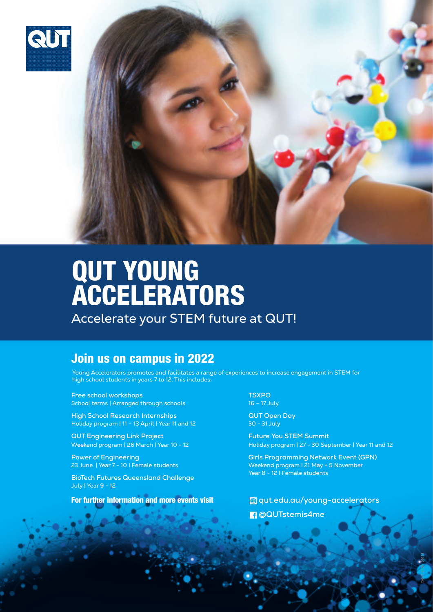



## QUT YOUNG ACCELERATORS

Accelerate your STEM future at QUT!

## Join us on campus in 2022

Young Accelerators promotes and facilitates a range of experiences to increase engagement in STEM for high school students in years 7 to 12. This includes:

**Free school workshops** School terms | Arranged through schools

**High School Research Internships** Holiday program | 11 – 13 April | Year 11 and 12

**QUT Engineering Link Project**  Weekend program | 26 March | Year 10 - 12

**Power of Engineering** 23 June | Year 7 - 10 I Female students

**BioTech Futures Queensland Challenge** July | Year 9 - 12

For further information and more events visit

**TSXPO** 16 – 17 July

**QUT Open Day** 30 - 31 July

**Future You STEM Summit** Holiday program | 27 - 30 September | Year 11 and 12

**Girls Programming Network Event (GPN)** Weekend program I 21 May + 5 November Year 8 - 12 I Female students

 **@QUTstemis4me qut.edu.au/young-accelerators**

©QUT 2020 24614